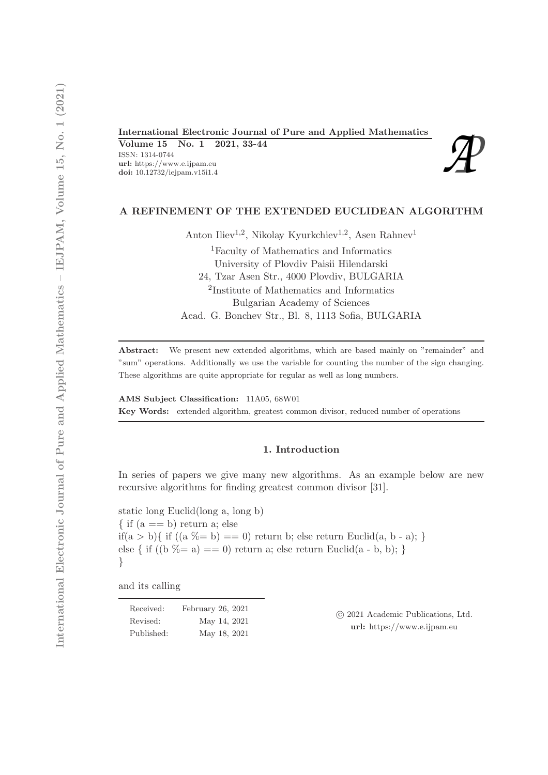International Electronic Journal of Pure and Applied Mathematics<br>
Volume 15 No. 1 2021, 33-44<br>
ISSN: 1314-0744<br>
url: https://www.e.ijpam.eu<br>
doi: 10.12732/iejpam.v15i1.4 Volume 15 No. 1 2021, 33-44 ISSN: 1314-0744 url: https://www.e.ijpam.eu



# A REFINEMENT OF THE EXTENDED EUCLIDEAN ALGORITHM

Anton Iliev<sup>1,2</sup>, Nikolay Kyurkchiev<sup>1,2</sup>, Asen Rahnev<sup>1</sup>

<sup>1</sup>Faculty of Mathematics and Informatics University of Plovdiv Paisii Hilendarski 24, Tzar Asen Str., 4000 Plovdiv, BULGARIA 2 Institute of Mathematics and Informatics Bulgarian Academy of Sciences Acad. G. Bonchev Str., Bl. 8, 1113 Sofia, BULGARIA

Abstract: We present new extended algorithms, which are based mainly on "remainder" and "sum" operations. Additionally we use the variable for counting the number of the sign changing. These algorithms are quite appropriate for regular as well as long numbers.

AMS Subject Classification: 11A05, 68W01 Key Words: extended algorithm, greatest common divisor, reduced number of operations

# 1. Introduction

In series of papers we give many new algorithms. As an example below are new recursive algorithms for finding greatest common divisor [31].

static long Euclid(long a, long b)  $\{$  if  $(a == b)$  return a; else if(a > b){ if ((a  $\%= b$ ) == 0) return b; else return Euclid(a, b - a); } else { if  $((b \% = a) == 0)$  return a; else return Euclid $(a - b, b);$ }

and its calling

| Received:  | February $26, 2021$ |
|------------|---------------------|
| Revised:   | May 14, 2021        |
| Published: | May 18, 2021        |

 c 2021 Academic Publications, Ltd. url: https://www.e.ijpam.eu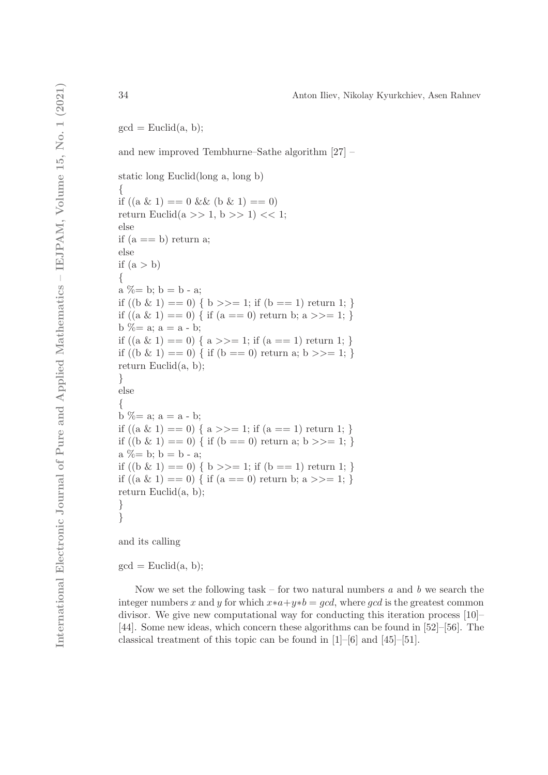$gcd = Euclid(a, b);$ 

and new improved Tembhurne–Sathe algorithm [27] –

static long Euclid(long a, long b) { if  $((a \& 1) == 0 \& 0 \& 1) == 0)$ return Euclid $(a \gg 1, b \gg 1) \ll 1$ ; else if  $(a == b)$  return a; else if  $(a > b)$ {  $a \% = b$ ;  $b = b - a$ ; if  $((b \& 1) == 0) \{ b \}>=1$ ; if  $(b == 1)$  return 1; } if  $((a \& 1) == 0)$  { if  $(a == 0)$  return b;  $a \gg 1$ ; }  $b \% = a$ ;  $a = a - b$ ; if  $((a \& 1) == 0) \{ a \}>=1$ ; if  $(a == 1)$  return 1; } if  $((b \& 1) == 0)$  { if  $(b == 0)$  return a;  $b \ge 1$ ; } return Euclid $(a, b)$ ; } else {  $b \% = a; a = a - b;$ if  $((a \& 1) == 0) \{ a \}>=1$ ; if  $(a == 1)$  return 1; } if  $((b \& 1) == 0)$  { if  $(b == 0)$  return a; b >>= 1; }  $a \% = b$ ;  $b = b - a$ ; if  $((b \& 1) == 0)$  {  $b \ge 1$ ; if  $(b == 1)$  return 1; } if  $((a \& 1) == 0)$  { if  $(a == 0)$  return b;  $a \gg 1$ ; } return Euclid(a, b); }

and its calling

}

 $gcd = Euclid(a, b);$ 

Now we set the following task – for two natural numbers *a* and *b* we search the integer numbers x and y for which  $x*a+y*b = gcd$ , where gcd is the greatest common divisor. We give new computational way for conducting this iteration process [10]– [44]. Some new ideas, which concern these algorithms can be found in [52]–[56]. The classical treatment of this topic can be found in [1]–[6] and [45]–[51].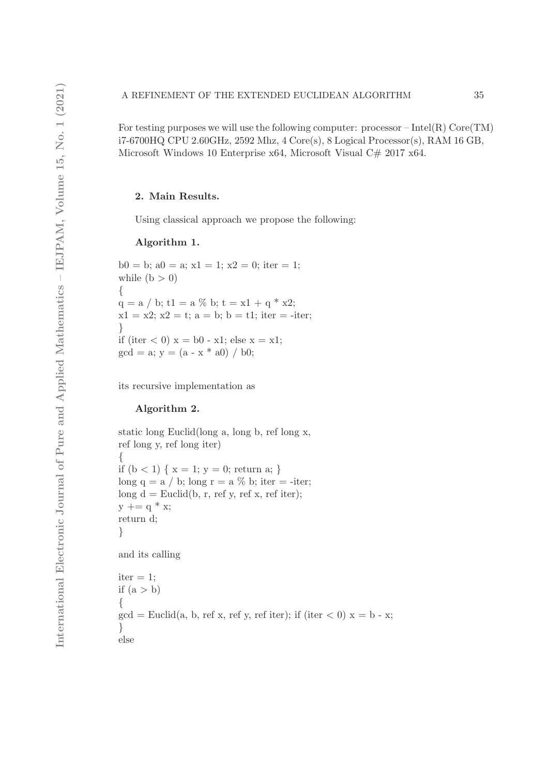For testing purposes we will use the following computer: processor – Intel(R)  $Core(TM)$ i7-6700HQ CPU 2.60GHz, 2592 Mhz, 4 Core(s), 8 Logical Processor(s), RAM 16 GB, Microsoft Windows 10 Enterprise x64, Microsoft Visual C# 2017 x64.

# 2. Main Results.

Using classical approach we propose the following:

## Algorithm 1.

 $b0 = b$ ;  $a0 = a$ ;  $x1 = 1$ ;  $x2 = 0$ ; iter = 1; while  $(b > 0)$ {  $q = a / b$ ; t1 = a % b; t = x1 + q \* x2;  $x1 = x2$ ;  $x2 = t$ ;  $a = b$ ;  $b = t1$ ; iter = -iter; } if (iter  $(0)$  x = b0 - x1; else x = x1;  $gcd = a$ ;  $y = (a - x * a0) / b0$ ;

its recursive implementation as

## Algorithm 2.

```
static long Euclid(long a, long b, ref long x,
ref long y, ref long iter)
{
if (b < 1) \{ x = 1; y = 0; return a; }
long q = a / b; long r = a % b; iter = -iter;
long d = Euclid(b, r, ref y, ref x, ref iter);
y \mid = q * x;return d;
}
and its calling
iter = 1;
if (a > b){
gcd = Euclid(a, b, ref x, ref y, ref iter); if (iter \lt 0) x = b - x;}
else
```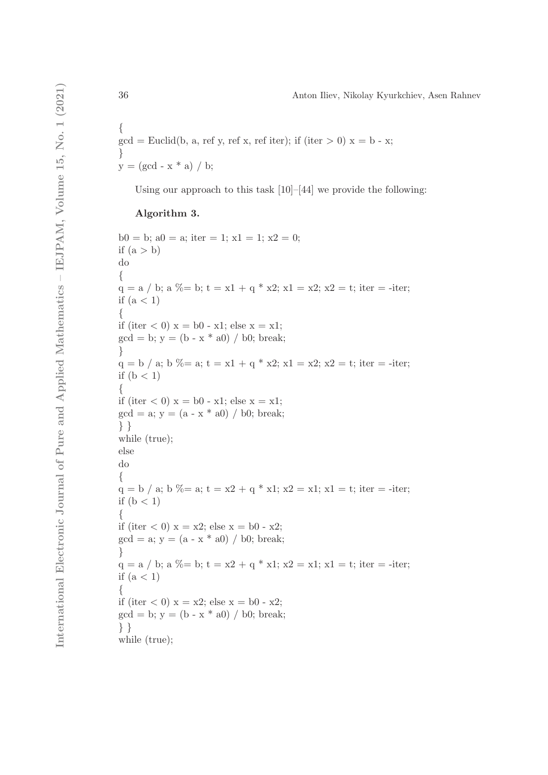$$
\begin{aligned} &\{ \\ \text{gcd} &= \text{Euclid}(b,\, a,\, \text{ref}\,\, y,\, \text{ref}\,\, x,\, \text{ref}\,\, \text{iter});\, \text{if}\,\, (\text{iter} &> 0)\,\, x = b - x; \\ &y = (\text{gcd} - x \,^* a)\ / \ b; \end{aligned}
$$

Using our approach to this task [10]–[44] we provide the following:

# Algorithm 3.

 $b0 = b$ ;  $a0 = a$ ; iter = 1;  $x1 = 1$ ;  $x2 = 0$ ; if  $(a > b)$ do {  $q = a / b$ ;  $a \text{ %} = b$ ;  $t = x1 + q * x2$ ;  $x1 = x2$ ;  $x2 = t$ ; iter = -iter; if  $(a < 1)$ { if (iter  $(0)$  x = b0 - x1; else x = x1;  $gcd = b$ ;  $y = (b - x * a0) / b0$ ; break; }  $q = b / a$ ;  $b \% = a$ ;  $t = x1 + q * x2$ ;  $x1 = x2$ ;  $x2 = t$ ; iter = -iter; if  $(b < 1)$ { if (iter  $< 0$ )  $x = b0 - x1$ ; else  $x = x1$ ;  $gcd = a$ ;  $y = (a - x * a0) / b0$ ; break; } } while (true); else do {  $q = b / a$ ;  $b \% = a$ ;  $t = x2 + q * x1$ ;  $x2 = x1$ ;  $x1 = t$ ; iter = -iter; if  $(b < 1)$ { if (iter  $(0)$  x = x2; else x = b0 - x2;  $gcd = a$ ;  $y = (a - x * a0) / b0$ ; break; }  $q = a / b$ ;  $a \% = b$ ;  $t = x2 + q * x1$ ;  $x2 = x1$ ;  $x1 = t$ ; iter = -iter; if  $(a < 1)$ { if (iter  $(0)$  x = x2; else x = b0 - x2;  $gcd = b$ ;  $y = (b - x * a0) / b0$ ; break; } } while (true);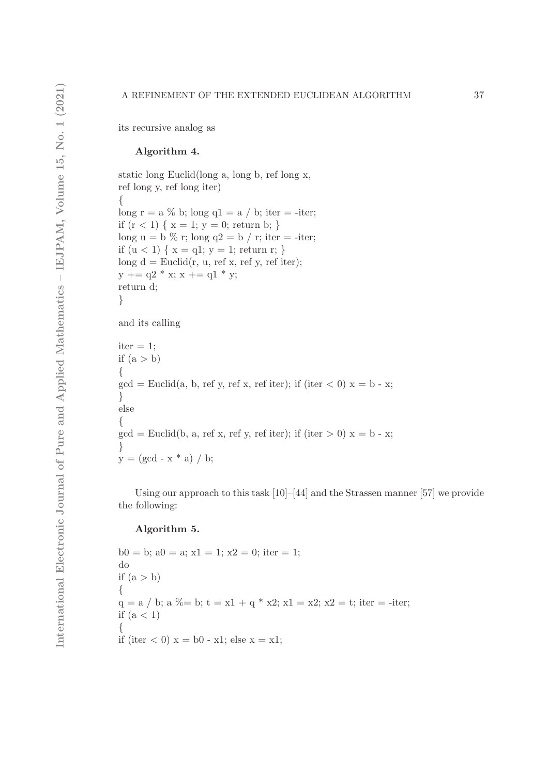#### A REFINEMENT OF THE EXTENDED EUCLIDEAN ALGORITHM 37

its recursive analog as

## Algorithm 4.

static long Euclid(long a, long b, ref long x, ref long y, ref long iter) { long r = a  $\%$  b; long q1 = a / b; iter = -iter; if  $(r < 1) \{ x = 1; y = 0;$  return b; } long  $u = b$  % r; long  $q2 = b / r$ ; iter = -iter; if  $(u < 1) \{ x = q1; y = 1; return r; \}$ long  $d =$  Euclid(r, u, ref x, ref y, ref iter);  $y \mid = q2 * x$ ;  $x \mid = q1 * y$ ; return d; } and its calling  $iter = 1;$ if  $(a > b)$ { }

 $\gcd =$  Euclid(a, b, ref y, ref x, ref iter); if (iter  $\lt 0$ )  $x =$  b - x; else {  $gcd = Euclid(b, a, ref x, ref y, ref iter);$  if (iter  $> 0$ )  $x = b - x;$ }  $y = (gcd - x * a) / b;$ 

Using our approach to this task [10]–[44] and the Strassen manner [57] we provide the following:

# Algorithm 5.

 $b0 = b$ ;  $a0 = a$ ;  $x1 = 1$ ;  $x2 = 0$ ; iter = 1; do if  $(a > b)$ {  $q = a / b$ ;  $a \% = b$ ;  $t = x1 + q * x2$ ;  $x1 = x2$ ;  $x2 = t$ ; iter = -iter; if  $(a < 1)$ { if (iter  $(0)$  x = b0 - x1; else x = x1;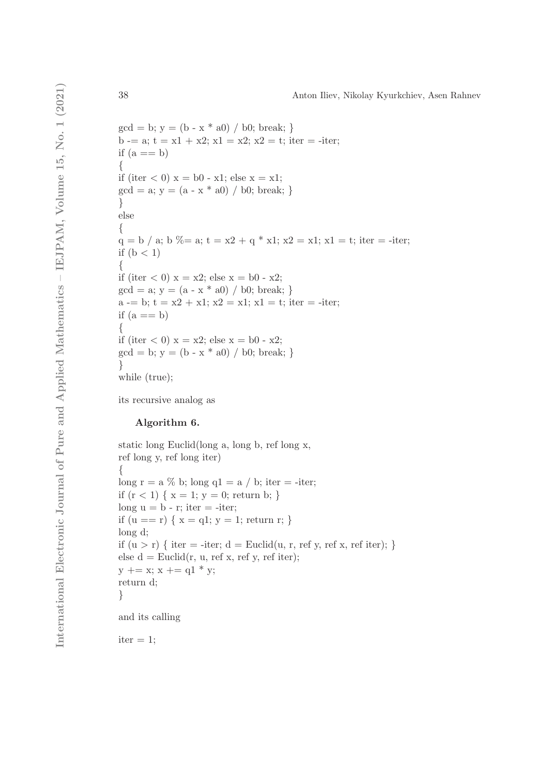```
gcd = b; y = (b - x * a0) / b0; break; }
b -= a; t = x1 + x2; x1 = x2; x2 = t; iter = -iter;
if (a == b){
if (iter < 0) x = b0 - x1; else x = x1;
gcd = a; y = (a - x * a0) / b0; break; }
}
else
{
q = b / a; b \% = a; t = x2 + q * x1; x2 = x1; x1 = t; iter = -iter;
if (b < 1){
if (iter < 0) x = x^2; else x = b^0 - x^2;
gcd = a; y = (a - x * a0) / b0; break; }
a = b; t = x^2 + x^1; x^2 = x^1; x^1 = t; iter = -iter;
if (a == b){
if (iter (0) x = x2; else x = b0 - x2;
gcd = b; y = (b - x * a0) / b0; break; }
}
while (true);
```
its recursive analog as

## Algorithm 6.

static long Euclid(long a, long b, ref long x, ref long y, ref long iter) { long  $r = a \% b$ ; long  $q1 = a / b$ ; iter = -iter; if  $(r < 1) \{ x = 1; y = 0;$  return b; } long  $u = b - r$ ; iter  $= -iter$ ; if  $(u == r) \{ x = q1; y = 1; return r; \}$ long d; if  $(u > r)$  { iter = -iter;  $d =$  Euclid $(u, r, ref y, ref x, ref iter);$ } else  $d =$  Euclid $(r, u, ref x, ref y, ref iter);$  $y \mid = x$ ;  $x \mid = q1 * y$ ; return d; } and its calling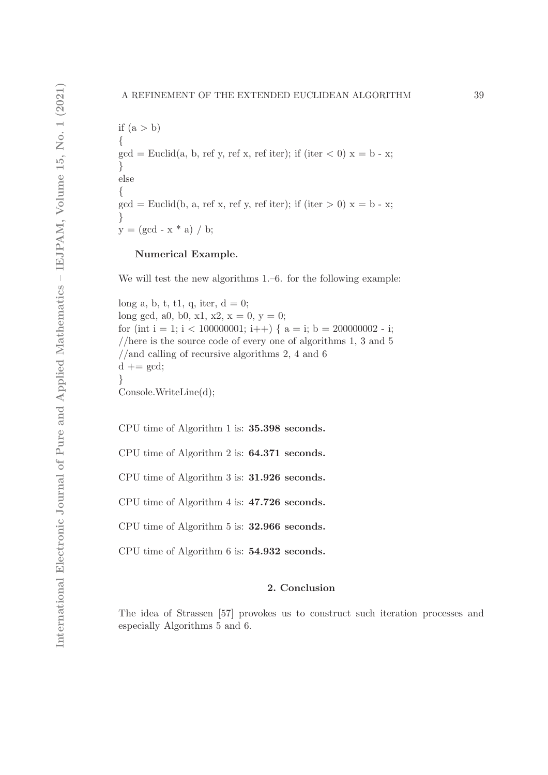if  $(a > b)$ {  $gcd = Euclid(a, b, ref y, ref x, ref iter); if (iter < 0) x = b - x;$ } else {  $gcd = Euclid(b, a, ref x, ref y, ref iter); if (iter > 0) x = b - x;$ }  $y = (gcd - x * a) / b;$ 

## Numerical Example.

We will test the new algorithms 1.–6. for the following example:

long a, b, t, t1, q, iter,  $d = 0$ ; long gcd, a0, b0, x1, x2,  $x = 0$ ,  $y = 0$ ; for (int i = 1; i < 100000001; i++) {  $a = i$ ; b = 200000002 - i; //here is the source code of every one of algorithms 1, 3 and 5 //and calling of recursive algorithms 2, 4 and 6  $d \mathrel{+}= gcd;$ } Console.WriteLine(d);

CPU time of Algorithm 1 is: 35.398 seconds.

CPU time of Algorithm 2 is: 64.371 seconds.

CPU time of Algorithm 3 is: 31.926 seconds.

CPU time of Algorithm 4 is: 47.726 seconds.

CPU time of Algorithm 5 is: 32.966 seconds.

CPU time of Algorithm 6 is: 54.932 seconds.

# 2. Conclusion

The idea of Strassen [57] provokes us to construct such iteration processes and especially Algorithms 5 and 6.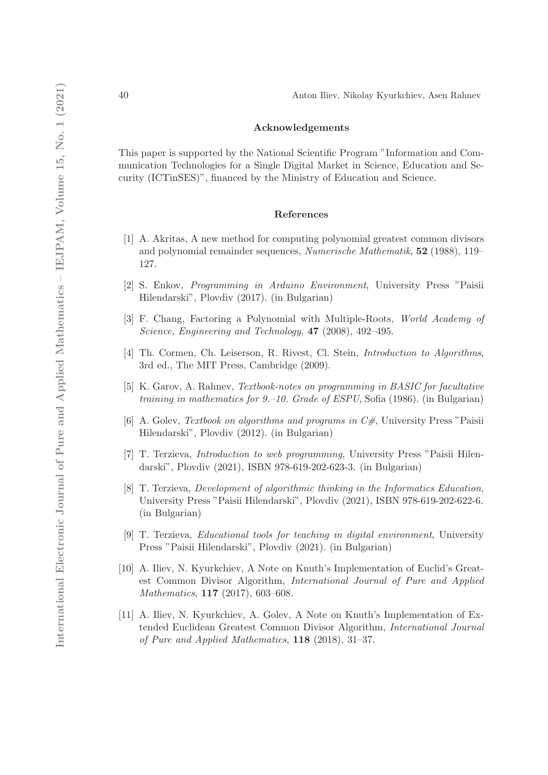## Acknowledgements

This paper is supported by the National Scientific Program "Information and Communication Technologies for a Single Digital Market in Science, Education and Security (ICTinSES)", financed by the Ministry of Education and Science.

#### References

- [1] A. Akritas, A new method for computing polynomial greatest common divisors and polynomial remainder sequences, *Numerische Mathematik*, 52 (1988), 119– 127.
- [2] S. Enkov, *Programming in Arduino Environment*, University Press "Paisii Hilendarski", Plovdiv (2017). (in Bulgarian)
- [3] F. Chang, Factoring a Polynomial with Multiple-Roots, *World Academy of Science, Engineering and Technology*, 47 (2008), 492–495.
- [4] Th. Cormen, Ch. Leiserson, R. Rivest, Cl. Stein, *Introduction to Algorithms*, 3rd ed., The MIT Press, Cambridge (2009).
- [5] K. Garov, A. Rahnev, *Textbook-notes on programming in BASIC for facultative training in mathematics for 9.–10. Grade of ESPU*, Sofia (1986). (in Bulgarian)
- [6] A. Golev, *Textbook on algorithms and programs in C#*, University Press "Paisii Hilendarski", Plovdiv (2012). (in Bulgarian)
- [7] T. Terzieva, *Introduction to web programming*, University Press "Paisii Hilendarski", Plovdiv (2021), ISBN 978-619-202-623-3. (in Bulgarian)
- [8] T. Terzieva, *Development of algorithmic thinking in the Informatics Education*, University Press "Paisii Hilendarski", Plovdiv (2021), ISBN 978-619-202-622-6. (in Bulgarian)
- [9] T. Terzieva, *Educational tools for teaching in digital environment*, University Press "Paisii Hilendarski", Plovdiv (2021). (in Bulgarian)
- [10] A. Iliev, N. Kyurkchiev, A Note on Knuth's Implementation of Euclid's Greatest Common Divisor Algorithm, *International Journal of Pure and Applied Mathematics*, 117 (2017), 603–608.
- [11] A. Iliev, N. Kyurkchiev, A. Golev, A Note on Knuth's Implementation of Extended Euclidean Greatest Common Divisor Algorithm, *International Journal of Pure and Applied Mathematics*, 118 (2018), 31–37.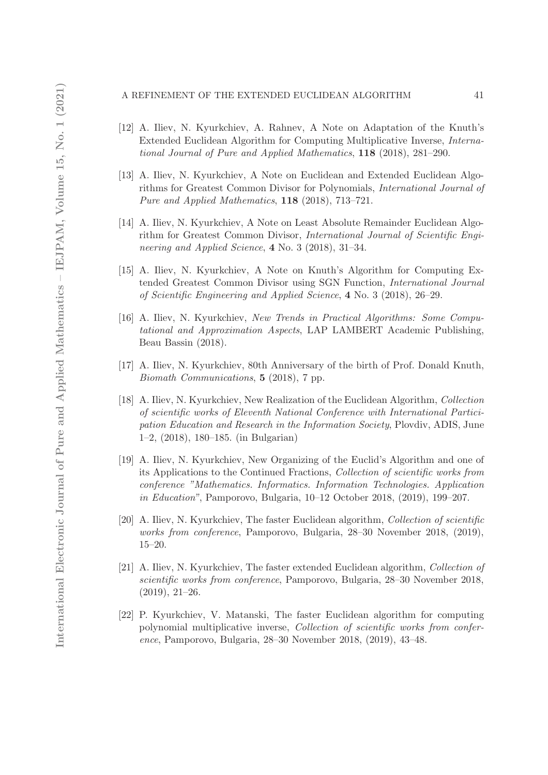#### A REFINEMENT OF THE EXTENDED EUCLIDEAN ALGORITHM 41

- [12] A. Iliev, N. Kyurkchiev, A. Rahnev, A Note on Adaptation of the Knuth's Extended Euclidean Algorithm for Computing Multiplicative Inverse, *International Journal of Pure and Applied Mathematics*, 118 (2018), 281–290.
- [13] A. Iliev, N. Kyurkchiev, A Note on Euclidean and Extended Euclidean Algorithms for Greatest Common Divisor for Polynomials, *International Journal of Pure and Applied Mathematics*, 118 (2018), 713–721.
- [14] A. Iliev, N. Kyurkchiev, A Note on Least Absolute Remainder Euclidean Algorithm for Greatest Common Divisor, *International Journal of Scientific Engineering and Applied Science*, 4 No. 3 (2018), 31–34.
- [15] A. Iliev, N. Kyurkchiev, A Note on Knuth's Algorithm for Computing Extended Greatest Common Divisor using SGN Function, *International Journal of Scientific Engineering and Applied Science*, 4 No. 3 (2018), 26–29.
- [16] A. Iliev, N. Kyurkchiev, *New Trends in Practical Algorithms: Some Computational and Approximation Aspects*, LAP LAMBERT Academic Publishing, Beau Bassin (2018).
- [17] A. Iliev, N. Kyurkchiev, 80th Anniversary of the birth of Prof. Donald Knuth, *Biomath Communications*, 5 (2018), 7 pp.
- [18] A. Iliev, N. Kyurkchiev, New Realization of the Euclidean Algorithm, *Collection of scientific works of Eleventh National Conference with International Participation Education and Research in the Information Society*, Plovdiv, ADIS, June 1–2, (2018), 180–185. (in Bulgarian)
- [19] A. Iliev, N. Kyurkchiev, New Organizing of the Euclid's Algorithm and one of its Applications to the Continued Fractions, *Collection of scientific works from conference "Mathematics. Informatics. Information Technologies. Application in Education"*, Pamporovo, Bulgaria, 10–12 October 2018, (2019), 199–207.
- [20] A. Iliev, N. Kyurkchiev, The faster Euclidean algorithm, *Collection of scientific works from conference*, Pamporovo, Bulgaria, 28–30 November 2018, (2019), 15–20.
- [21] A. Iliev, N. Kyurkchiev, The faster extended Euclidean algorithm, *Collection of scientific works from conference*, Pamporovo, Bulgaria, 28–30 November 2018, (2019), 21–26.
- [22] P. Kyurkchiev, V. Matanski, The faster Euclidean algorithm for computing polynomial multiplicative inverse, *Collection of scientific works from conference*, Pamporovo, Bulgaria, 28–30 November 2018, (2019), 43–48.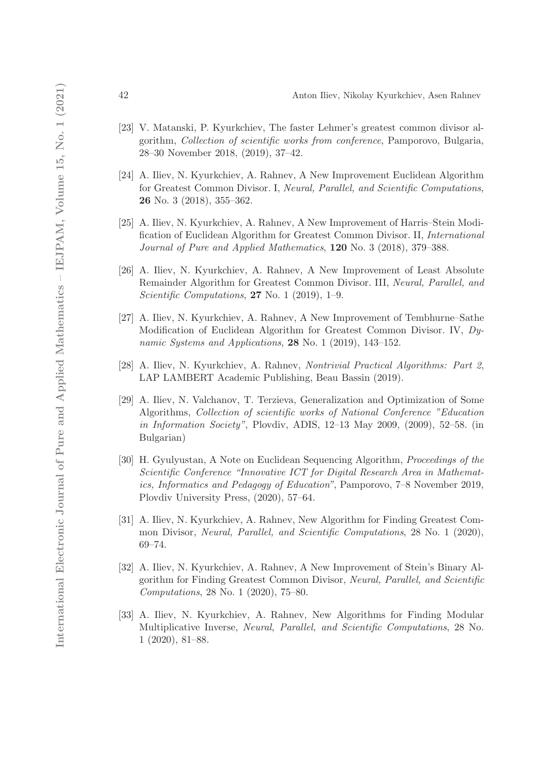- [23] V. Matanski, P. Kyurkchiev, The faster Lehmer's greatest common divisor algorithm, *Collection of scientific works from conference*, Pamporovo, Bulgaria, 28–30 November 2018, (2019), 37–42.
- [24] A. Iliev, N. Kyurkchiev, A. Rahnev, A New Improvement Euclidean Algorithm for Greatest Common Divisor. I, *Neural, Parallel, and Scientific Computations*, 26 No. 3 (2018), 355–362.
- [25] A. Iliev, N. Kyurkchiev, A. Rahnev, A New Improvement of Harris–Stein Modification of Euclidean Algorithm for Greatest Common Divisor. II, *International Journal of Pure and Applied Mathematics*, 120 No. 3 (2018), 379–388.
- [26] A. Iliev, N. Kyurkchiev, A. Rahnev, A New Improvement of Least Absolute Remainder Algorithm for Greatest Common Divisor. III, *Neural, Parallel, and Scientific Computations*, 27 No. 1 (2019), 1–9.
- [27] A. Iliev, N. Kyurkchiev, A. Rahnev, A New Improvement of Tembhurne–Sathe Modification of Euclidean Algorithm for Greatest Common Divisor. IV, *Dynamic Systems and Applications*, 28 No. 1 (2019), 143–152.
- [28] A. Iliev, N. Kyurkchiev, A. Rahnev, *Nontrivial Practical Algorithms: Part 2*, LAP LAMBERT Academic Publishing, Beau Bassin (2019).
- [29] A. Iliev, N. Valchanov, T. Terzieva, Generalization and Optimization of Some Algorithms, *Collection of scientific works of National Conference "Education in Information Society"*, Plovdiv, ADIS, 12–13 May 2009, (2009), 52–58. (in Bulgarian)
- [30] H. Gyulyustan, A Note on Euclidean Sequencing Algorithm, *Proceedings of the Scientific Conference "Innovative ICT for Digital Research Area in Mathematics, Informatics and Pedagogy of Education"*, Pamporovo, 7–8 November 2019, Plovdiv University Press, (2020), 57–64.
- [31] A. Iliev, N. Kyurkchiev, A. Rahnev, New Algorithm for Finding Greatest Common Divisor, *Neural, Parallel, and Scientific Computations*, 28 No. 1 (2020), 69–74.
- [32] A. Iliev, N. Kyurkchiev, A. Rahnev, A New Improvement of Stein's Binary Algorithm for Finding Greatest Common Divisor, *Neural, Parallel, and Scientific Computations*, 28 No. 1 (2020), 75–80.
- [33] A. Iliev, N. Kyurkchiev, A. Rahnev, New Algorithms for Finding Modular Multiplicative Inverse, *Neural, Parallel, and Scientific Computations*, 28 No. 1 (2020), 81–88.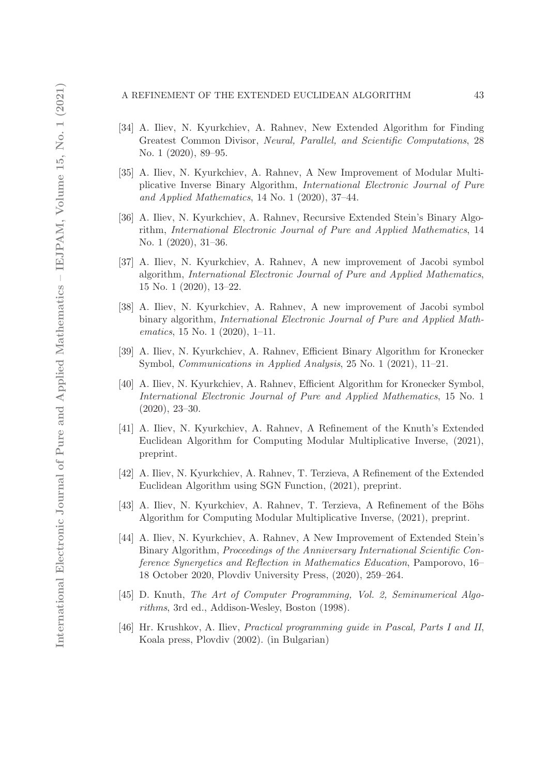#### A REFINEMENT OF THE EXTENDED EUCLIDEAN ALGORITHM 43

- [34] A. Iliev, N. Kyurkchiev, A. Rahnev, New Extended Algorithm for Finding Greatest Common Divisor, *Neural, Parallel, and Scientific Computations*, 28 No. 1 (2020), 89–95.
- [35] A. Iliev, N. Kyurkchiev, A. Rahnev, A New Improvement of Modular Multiplicative Inverse Binary Algorithm, *International Electronic Journal of Pure and Applied Mathematics*, 14 No. 1 (2020), 37–44.
- [36] A. Iliev, N. Kyurkchiev, A. Rahnev, Recursive Extended Stein's Binary Algorithm, *International Electronic Journal of Pure and Applied Mathematics*, 14 No. 1 (2020), 31–36.
- [37] A. Iliev, N. Kyurkchiev, A. Rahnev, A new improvement of Jacobi symbol algorithm, *International Electronic Journal of Pure and Applied Mathematics*, 15 No. 1 (2020), 13–22.
- [38] A. Iliev, N. Kyurkchiev, A. Rahnev, A new improvement of Jacobi symbol binary algorithm, *International Electronic Journal of Pure and Applied Mathematics*, 15 No. 1 (2020), 1–11.
- [39] A. Iliev, N. Kyurkchiev, A. Rahnev, Efficient Binary Algorithm for Kronecker Symbol, *Communications in Applied Analysis*, 25 No. 1 (2021), 11–21.
- [40] A. Iliev, N. Kyurkchiev, A. Rahnev, Efficient Algorithm for Kronecker Symbol, *International Electronic Journal of Pure and Applied Mathematics*, 15 No. 1 (2020), 23–30.
- [41] A. Iliev, N. Kyurkchiev, A. Rahnev, A Refinement of the Knuth's Extended Euclidean Algorithm for Computing Modular Multiplicative Inverse, (2021), preprint.
- [42] A. Iliev, N. Kyurkchiev, A. Rahnev, T. Terzieva, A Refinement of the Extended Euclidean Algorithm using SGN Function, (2021), preprint.
- [43] A. Iliev, N. Kyurkchiev, A. Rahnev, T. Terzieva, A Refinement of the Böhs Algorithm for Computing Modular Multiplicative Inverse, (2021), preprint.
- [44] A. Iliev, N. Kyurkchiev, A. Rahnev, A New Improvement of Extended Stein's Binary Algorithm, *Proceedings of the Anniversary International Scientific Conference Synergetics and Reflection in Mathematics Education*, Pamporovo, 16– 18 October 2020, Plovdiv University Press, (2020), 259–264.
- [45] D. Knuth, *The Art of Computer Programming, Vol. 2, Seminumerical Algorithms*, 3rd ed., Addison-Wesley, Boston (1998).
- [46] Hr. Krushkov, A. Iliev, *Practical programming guide in Pascal, Parts I and II*, Koala press, Plovdiv (2002). (in Bulgarian)